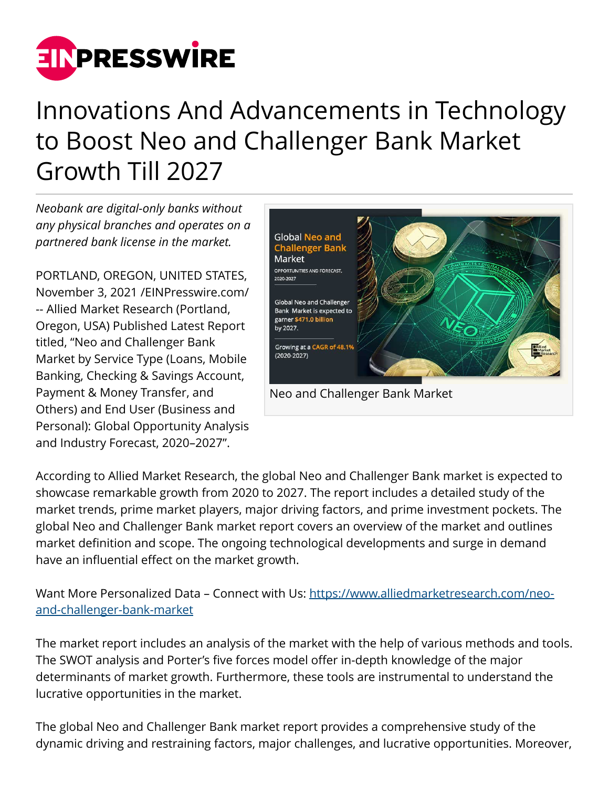

## Innovations And Advancements in Technology to Boost Neo and Challenger Bank Market Growth Till 2027

*Neobank are digital-only banks without any physical branches and operates on a partnered bank license in the market.* 

PORTLAND, OREGON, UNITED STATES, November 3, 2021 /[EINPresswire.com/](http://www.einpresswire.com) -- Allied Market Research (Portland, Oregon, USA) Published Latest Report titled, "Neo and Challenger Bank Market by Service Type (Loans, Mobile Banking, Checking & Savings Account, Payment & Money Transfer, and Others) and End User (Business and Personal): Global Opportunity Analysis and Industry Forecast, 2020–2027".



According to Allied Market Research, the global Neo and Challenger Bank market is expected to showcase remarkable growth from 2020 to 2027. The report includes a detailed study of the market trends, prime market players, major driving factors, and prime investment pockets. The global Neo and Challenger Bank market report covers an overview of the market and outlines market definition and scope. The ongoing technological developments and surge in demand have an influential effect on the market growth.

Want More Personalized Data - Connect with Us: [https://www.alliedmarketresearch.com/neo](https://www.alliedmarketresearch.com/neo-and-challenger-bank-market)[and-challenger-bank-market](https://www.alliedmarketresearch.com/neo-and-challenger-bank-market)

The market report includes an analysis of the market with the help of various methods and tools. The SWOT analysis and Porter's five forces model offer in-depth knowledge of the major determinants of market growth. Furthermore, these tools are instrumental to understand the lucrative opportunities in the market.

The global Neo and Challenger Bank market report provides a comprehensive study of the dynamic driving and restraining factors, major challenges, and lucrative opportunities. Moreover,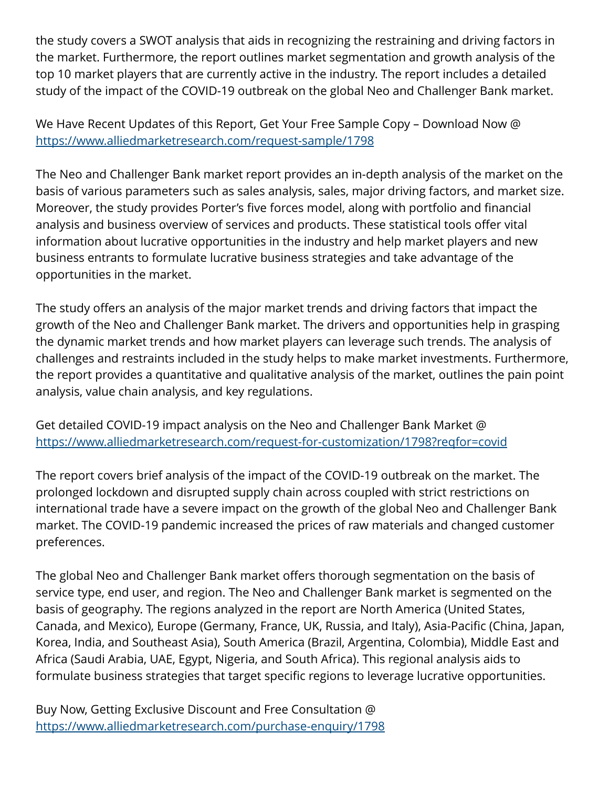the study covers a SWOT analysis that aids in recognizing the restraining and driving factors in the market. Furthermore, the report outlines market segmentation and growth analysis of the top 10 market players that are currently active in the industry. The report includes a detailed study of the impact of the COVID-19 outbreak on the global Neo and Challenger Bank market.

We Have Recent Updates of this Report, Get Your Free Sample Copy – Download Now @ <https://www.alliedmarketresearch.com/request-sample/1798>

The Neo and Challenger Bank market report provides an in-depth analysis of the market on the basis of various parameters such as sales analysis, sales, major driving factors, and market size. Moreover, the study provides Porter's five forces model, along with portfolio and financial analysis and business overview of services and products. These statistical tools offer vital information about lucrative opportunities in the industry and help market players and new business entrants to formulate lucrative business strategies and take advantage of the opportunities in the market.

The study offers an analysis of the major market trends and driving factors that impact the growth of the Neo and Challenger Bank market. The drivers and opportunities help in grasping the dynamic market trends and how market players can leverage such trends. The analysis of challenges and restraints included in the study helps to make market investments. Furthermore, the report provides a quantitative and qualitative analysis of the market, outlines the pain point analysis, value chain analysis, and key regulations.

Get detailed COVID-19 impact analysis on the Neo and Challenger Bank Market @ <https://www.alliedmarketresearch.com/request-for-customization/1798?reqfor=covid>

The report covers brief analysis of the impact of the COVID-19 outbreak on the market. The prolonged lockdown and disrupted supply chain across coupled with strict restrictions on international trade have a severe impact on the growth of the global Neo and Challenger Bank market. The COVID-19 pandemic increased the prices of raw materials and changed customer preferences.

The global Neo and Challenger Bank market offers thorough segmentation on the basis of service type, end user, and region. The Neo and Challenger Bank market is segmented on the basis of geography. The regions analyzed in the report are North America (United States, Canada, and Mexico), Europe (Germany, France, UK, Russia, and Italy), Asia-Pacific (China, Japan, Korea, India, and Southeast Asia), South America (Brazil, Argentina, Colombia), Middle East and Africa (Saudi Arabia, UAE, Egypt, Nigeria, and South Africa). This regional analysis aids to formulate business strategies that target specific regions to leverage lucrative opportunities.

Buy Now, Getting Exclusive Discount and Free Consultation @ <https://www.alliedmarketresearch.com/purchase-enquiry/1798>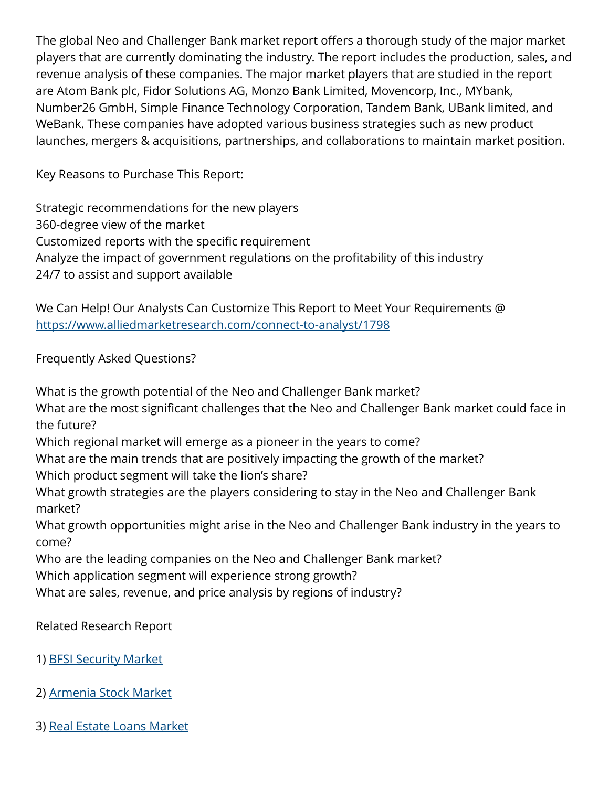The global Neo and Challenger Bank market report offers a thorough study of the major market players that are currently dominating the industry. The report includes the production, sales, and revenue analysis of these companies. The major market players that are studied in the report are Atom Bank plc, Fidor Solutions AG, Monzo Bank Limited, Movencorp, Inc., MYbank, Number26 GmbH, Simple Finance Technology Corporation, Tandem Bank, UBank limited, and WeBank. These companies have adopted various business strategies such as new product launches, mergers & acquisitions, partnerships, and collaborations to maintain market position.

Key Reasons to Purchase This Report:

Strategic recommendations for the new players 360-degree view of the market Customized reports with the specific requirement Analyze the impact of government regulations on the profitability of this industry 24/7 to assist and support available

We Can Help! Our Analysts Can Customize This Report to Meet Your Requirements @ <https://www.alliedmarketresearch.com/connect-to-analyst/1798>

Frequently Asked Questions?

What is the growth potential of the Neo and Challenger Bank market?

What are the most significant challenges that the Neo and Challenger Bank market could face in the future?

Which regional market will emerge as a pioneer in the years to come?

What are the main trends that are positively impacting the growth of the market?

Which product segment will take the lion's share?

What growth strategies are the players considering to stay in the Neo and Challenger Bank market?

What growth opportunities might arise in the Neo and Challenger Bank industry in the years to come?

Who are the leading companies on the Neo and Challenger Bank market?

Which application segment will experience strong growth?

What are sales, revenue, and price analysis by regions of industry?

Related Research Report

- 1) [BFSI Security Market](https://www.alliedmarketresearch.com/bfsi-security-market-A10561)
- 2) [Armenia Stock Market](https://www.alliedmarketresearch.com/armenia-stock-market-A06047)
- 3) [Real Estate Loans Market](https://www.alliedmarketresearch.com/real-estate-loans-market-A10048)